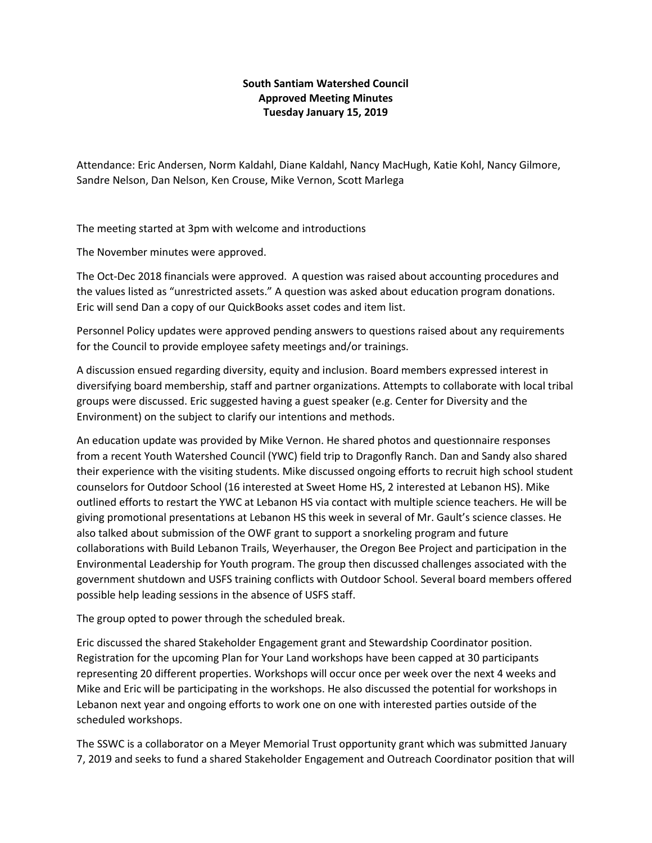## **South Santiam Watershed Council Approved Meeting Minutes Tuesday January 15, 2019**

Attendance: Eric Andersen, Norm Kaldahl, Diane Kaldahl, Nancy MacHugh, Katie Kohl, Nancy Gilmore, Sandre Nelson, Dan Nelson, Ken Crouse, Mike Vernon, Scott Marlega

The meeting started at 3pm with welcome and introductions

The November minutes were approved.

The Oct-Dec 2018 financials were approved. A question was raised about accounting procedures and the values listed as "unrestricted assets." A question was asked about education program donations. Eric will send Dan a copy of our QuickBooks asset codes and item list.

Personnel Policy updates were approved pending answers to questions raised about any requirements for the Council to provide employee safety meetings and/or trainings.

A discussion ensued regarding diversity, equity and inclusion. Board members expressed interest in diversifying board membership, staff and partner organizations. Attempts to collaborate with local tribal groups were discussed. Eric suggested having a guest speaker (e.g. Center for Diversity and the Environment) on the subject to clarify our intentions and methods.

An education update was provided by Mike Vernon. He shared photos and questionnaire responses from a recent Youth Watershed Council (YWC) field trip to Dragonfly Ranch. Dan and Sandy also shared their experience with the visiting students. Mike discussed ongoing efforts to recruit high school student counselors for Outdoor School (16 interested at Sweet Home HS, 2 interested at Lebanon HS). Mike outlined efforts to restart the YWC at Lebanon HS via contact with multiple science teachers. He will be giving promotional presentations at Lebanon HS this week in several of Mr. Gault's science classes. He also talked about submission of the OWF grant to support a snorkeling program and future collaborations with Build Lebanon Trails, Weyerhauser, the Oregon Bee Project and participation in the Environmental Leadership for Youth program. The group then discussed challenges associated with the government shutdown and USFS training conflicts with Outdoor School. Several board members offered possible help leading sessions in the absence of USFS staff.

The group opted to power through the scheduled break.

Eric discussed the shared Stakeholder Engagement grant and Stewardship Coordinator position. Registration for the upcoming Plan for Your Land workshops have been capped at 30 participants representing 20 different properties. Workshops will occur once per week over the next 4 weeks and Mike and Eric will be participating in the workshops. He also discussed the potential for workshops in Lebanon next year and ongoing efforts to work one on one with interested parties outside of the scheduled workshops.

The SSWC is a collaborator on a Meyer Memorial Trust opportunity grant which was submitted January 7, 2019 and seeks to fund a shared Stakeholder Engagement and Outreach Coordinator position that will